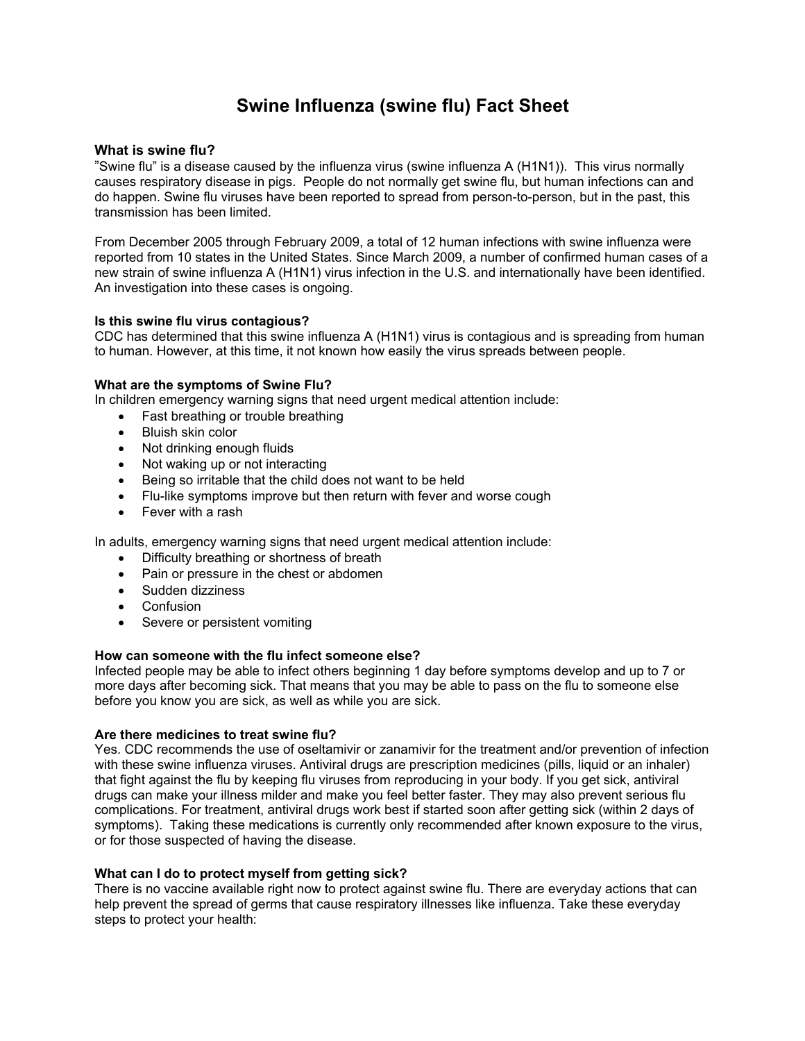# **Swine Influenza (swine flu) Fact Sheet**

#### **What is swine flu?**

"Swine flu" is a disease caused by the influenza virus (swine influenza A (H1N1)). This virus normally causes respiratory disease in pigs. People do not normally get swine flu, but human infections can and do happen. Swine flu viruses have been reported to spread from person-to-person, but in the past, this transmission has been limited.

From December 2005 through February 2009, a total of 12 human infections with swine influenza were reported from 10 states in the United States. Since March 2009, a number of confirmed human cases of a new strain of swine influenza A (H1N1) virus infection in the U.S. and internationally have been identified. An investigation into these cases is ongoing.

#### **Is this swine flu virus contagious?**

CDC has determined that this swine influenza A (H1N1) virus is contagious and is spreading from human to human. However, at this time, it not known how easily the virus spreads between people.

#### **What are the symptoms of Swine Flu?**

In children emergency warning signs that need urgent medical attention include:

- Fast breathing or trouble breathing
- Bluish skin color
- Not drinking enough fluids
- Not waking up or not interacting
- Being so irritable that the child does not want to be held
- Flu-like symptoms improve but then return with fever and worse cough
- Fever with a rash

In adults, emergency warning signs that need urgent medical attention include:

- Difficulty breathing or shortness of breath
- Pain or pressure in the chest or abdomen
- Sudden dizziness
- Confusion
- Severe or persistent vomiting

#### **How can someone with the flu infect someone else?**

Infected people may be able to infect others beginning 1 day before symptoms develop and up to 7 or more days after becoming sick. That means that you may be able to pass on the flu to someone else before you know you are sick, as well as while you are sick.

#### **Are there medicines to treat swine flu?**

Yes. CDC recommends the use of oseltamivir or zanamivir for the treatment and/or prevention of infection with these swine influenza viruses. Antiviral drugs are prescription medicines (pills, liquid or an inhaler) that fight against the flu by keeping flu viruses from reproducing in your body. If you get sick, antiviral drugs can make your illness milder and make you feel better faster. They may also prevent serious flu complications. For treatment, antiviral drugs work best if started soon after getting sick (within 2 days of symptoms). Taking these medications is currently only recommended after known exposure to the virus, or for those suspected of having the disease.

#### **What can I do to protect myself from getting sick?**

There is no vaccine available right now to protect against swine flu. There are everyday actions that can help prevent the spread of germs that cause respiratory illnesses like influenza. Take these everyday steps to protect your health: